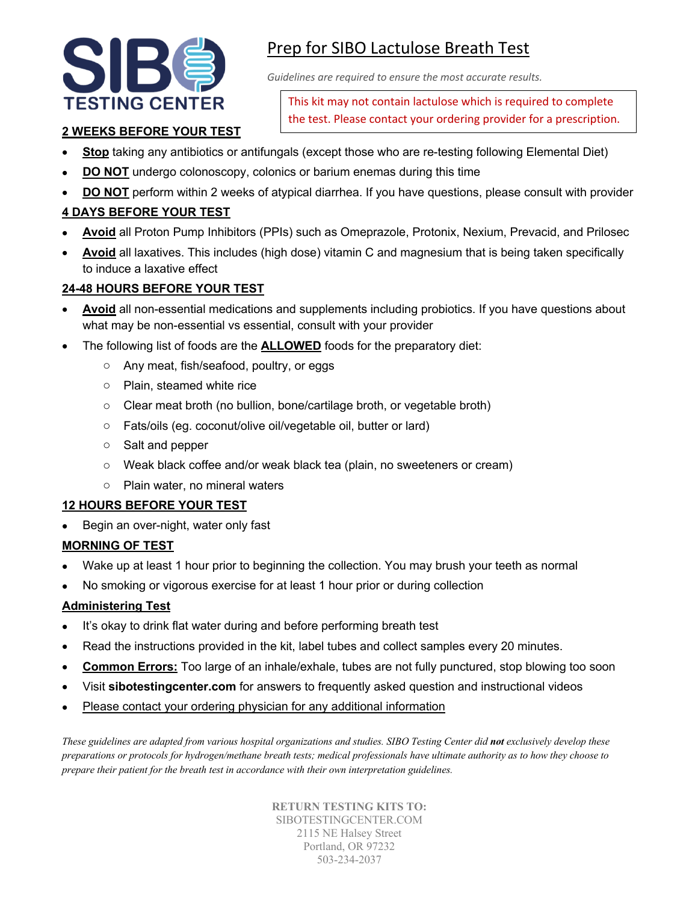

# Prep for SIBO Lactulose Breath Test

*Guidelines are required to ensure the most accurate results.*

This kit may not contain lactulose which is required to complete the test. Please contact your ordering provider for a prescription.

# **2 WEEKS BEFORE YOUR TEST**

- **Stop** taking any antibiotics or antifungals (except those who are re-testing following Elemental Diet)
- **DO NOT** undergo colonoscopy, colonics or barium enemas during this time
- **DO NOT** perform within 2 weeks of atypical diarrhea. If you have questions, please consult with provider

# **4 DAYS BEFORE YOUR TEST**

- **Avoid** all Proton Pump Inhibitors (PPIs) such as Omeprazole, Protonix, Nexium, Prevacid, and Prilosec
- **Avoid** all laxatives. This includes (high dose) vitamin C and magnesium that is being taken specifically to induce a laxative effect

#### **24-48 HOURS BEFORE YOUR TEST**

- **Avoid** all non-essential medications and supplements including probiotics. If you have questions about what may be non-essential vs essential, consult with your provider
- The following list of foods are the **ALLOWED** foods for the preparatory diet:
	- o Any meat, fish/seafood, poultry, or eggs
	- o Plain, steamed white rice
	- o Clear meat broth (no bullion, bone/cartilage broth, or vegetable broth)
	- o Fats/oils (eg. coconut/olive oil/vegetable oil, butter or lard)
	- o Salt and pepper
	- o Weak black coffee and/or weak black tea (plain, no sweeteners or cream)
	- o Plain water, no mineral waters

#### **12 HOURS BEFORE YOUR TEST**

• Begin an over-night, water only fast

# **MORNING OF TEST**

- Wake up at least 1 hour prior to beginning the collection. You may brush your teeth as normal
- No smoking or vigorous exercise for at least 1 hour prior or during collection

# **Administering Test**

- It's okay to drink flat water during and before performing breath test
- Read the instructions provided in the kit, label tubes and collect samples every 20 minutes.
- **Common Errors:** Too large of an inhale/exhale, tubes are not fully punctured, stop blowing too soon
- Visit **sibotestingcenter.com** for answers to frequently asked question and instructional videos
- Please contact your ordering physician for any additional information

*These guidelines are adapted from various hospital organizations and studies. SIBO Testing Center did not exclusively develop these preparations or protocols for hydrogen/methane breath tests; medical professionals have ultimate authority as to how they choose to prepare their patient for the breath test in accordance with their own interpretation guidelines.*

> **RETURN TESTING KITS TO:** SIBOTESTINGCENTER.COM 2115 NE Halsey Street Portland, OR 97232 503-234-2037